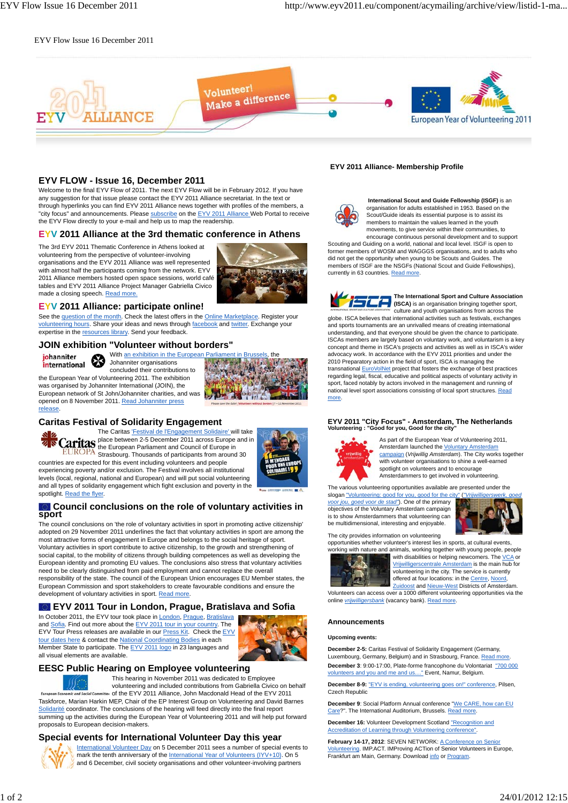#### EYV Flow Issue 16 December 2011



#### **EYV FLOW - Issue 16, December 2011**

Welcome to the final EYV Flow of 2011. The next EYV Flow will be in February 2012. If you have any suggestion for that issue please contact the EYV 2011 Alliance secretariat. In the text or through hyperlinks you can find EYV 2011 Alliance news together with profiles of the members, a "city focus" and announcements. Please subscribe on the EYV 2011 Alliance Web Portal to receive the EYV Flow directly to your e-mail and help us to map the readership.

#### **EYV 2011 Alliance at the 3rd thematic conference in Athens**

The 3rd EYV 2011 Thematic Conference in Athens looked at volunteering from the perspective of volunteer-involving

organisations and the EYV 2011 Alliance was well represented with almost half the participants coming from the network. EYV 2011 Alliance members hosted open space sessions, world café tables and EYV 2011 Alliance Project Manager Gabriella Civico made a closing speech. Read more



#### **EYV 2011 Alliance: participate online!**

See the question of the month. Check the latest offers in the Online Marketplace. Register your volunteering hours. Share your ideas and news through facebook and twitter. Exchange your expertise in the resources library. Send your feedback.

#### **JOIN exhibition "Volunteer without borders"**



release.

With an exhibition in the European Parliament in Brussels, the Johanniter organisations concluded their contributions to the European Year of Volunteering 2011. The exhibition

was organised by Johanniter International (JOIN), the European network of St John/Johanniter charities, and was opened on 8 November 2011. Read Johanniter press

# **Caritas Festival of Solidarity Engagement**



countries are expected for this event including volunteers and people experiencing poverty and/or exclusion. The Festival involves all institutional levels (local, regional, national and European) and will put social volunteering and all types of solidarity engagement which fight exclusion and poverty in the spotlight. Read the flyer.

# **Council conclusions on the role of voluntary activities in sport**

The council conclusions on 'the role of voluntary activities in sport in promoting active citizenship' adopted on 29 November 2011 underlines the fact that voluntary activities in sport are among the most attractive forms of engagement in Europe and belongs to the social heritage of sport. Voluntary activities in sport contribute to active citizenship, to the growth and strengthening of social capital, to the mobility of citizens through building competences as well as developing the European identity and promoting EU values. The conclusions also stress that voluntary activities need to be clearly distinguished from paid employment and cannot replace the overall responsibility of the state. The council of the European Union encourages EU Member states, the European Commission and sport stakeholders to create favourable conditions and ensure the development of voluntary activities in sport. Read more

#### **EYV 2011 Tour in London, Prague, Bratislava and Sofia**

In October 2011, the EYV tour took place in **London**, Prague, Bratislava and Sofia. Find out more about the EYV 2011 tour in your country. The EYV Tour Press releases are available in our Press Kit. Check the EYV tour dates here & contact the National Coordinating Bodies in each Member State to participate. The **EYV 2011 logo** in 23 languages and all visual elements are available.



#### **EESC Public Hearing on Employee volunteering**

This hearing in November 2011 was dedicated to Employee volunteering and included contributions from Gabriella Civico on behalf of the EYV 2011 Alliance, John Macdonald Head of the EYV 2011

Taskforce, Marian Harkin MEP, Chair of the EP Interest Group on Volunteering and David Barnes Solidarité coordinator. The conclusions of the hearing will feed directly into the final report summing up the activities during the European Year of Volunteering 2011 and will help put forward proposals to European decision-makers.

#### **Special events for International Volunteer Day this year**



International Volunteer Day on 5 December 2011 sees a number of special events to mark the tenth anniversary of the International Year of Volunteers (IYV+10). On 5 and 6 December, civil society organisations and other volunteer-involving partners

#### **EYV 2011 Alliance- Membership Profile**



 **International Scout and Guide Fellowship (ISGF)** is an organisation for adults established in 1953. Based on the Scout/Guide ideals its essential purpose is to assist its members to maintain the values learned in the youth movements, to give service within their communities, to

encourage continuous personal development and to support Scouting and Guiding on a world, national and local level. ISGF is open to former members of WOSM and WAGGGS organisations, and to adults who did not get the opportunity when young to be Scouts and Guides. The members of ISGF are the NSGFs (National Scout and Guide Fellowships), currently in 63 countries. Read more.



**The International Sport and Culture Association (ISCA)** The International Sport and Culture Association bringing to gether sport<br>(ISCA) is an organisation bringing together sproce the

culture and youth organisations from across the globe. ISCA believes that international activities such as festivals, exchange and sports tournaments are an unrivalled means of creating international understanding, and that everyone should be given the chance to participate. ISCAs members are largely based on voluntary work, and voluntarism is a key concept and theme in ISCA's projects and activities as well as in ISCA's wider advocacy work. In accordance with the EYV 2011 priorities and under the 2010 Preparatory action in the field of sport, ISCA is managing the transnational EuroVolNet project that fosters the exchange of best practices regarding legal, fiscal, educative and political aspects of voluntary activity in sport, faced notably by actors involved in the management and running of national level sport associations consisting of local sport structures. Read more.

# **EYV 2011 "City Focus" - Amsterdam, The Netherlands Volunteering : "Good for you, Good for the city"**



As part of the European Year of Volunteering 2011, Amsterdam launched the Voluntary Amsterdam campaign (*Vrijwillig Amsterdam*). The City works together with volunteer organisations to shine a well-earned spotlight on volunteers and to encourage Amsterdammers to get involved in volunteering.

The various volunteering opportunities available are presented under the

slogan "Volunteering: good for you, good for the city" ("Vrijwillige") *voor jou, goed voor de stad"*). One of the primary objectives of the Voluntary Amsterdam campaign is to show Amsterdammers that volunteering can be multidimensional, interesting and enjoyable.



The city provides information on volunteering

opportunities whether volunteer's interest lies in sports, at cultural events,



working with nature and animals, working together with young people, people with disabilities or helping newcomers. The VCA or Vrijwilligerscentrale Amsterdam is the main hub for volunteering in the city. The service is currently offered at four locations: in the Centre, Noord, Zuidoost and Nieuw-West Districts of Amsterdam.

Volunteers can access over a 1000 different volunteering opportunities via the online *vrijwilligersbank* (vacancy bank). Read more.

#### **Announcements**

#### **Upcoming events:**

**December 2-5:** Caritas Festival of Solidarity Engagement (Germany, Luxembourg, Germany, Belgium) and in Strasbourg, France. Read more. **December 3**: 9:00-17:00, Plate-forme francophone du Volontariat "700 000 volunteers and you and me and us...." Event, Namur, Belgium.

**December 8-9:** "EYV is ending, volunteering goes on!" conference, Pilsen, Czech Republic

**December 9**: Social Platform Annual conference "We CARE, how can EU Care?". The International Auditorium, Brussels. Read more.

**December 16: Volunteer Development Scotland "Recognition and** Accreditation of Learning through Volunteering conference".

February 14-17, 2012: SEVEN NETWORK: A Conference on Senior Volunteering. IMP.ACT. IMProving ACTion of Senior Volunteers in Europe, Frankfurt am Main, Germany. Download info or Program.